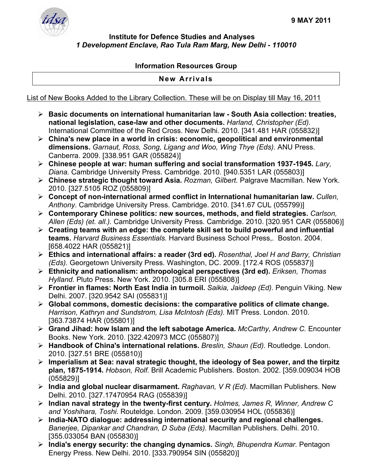

## **Institute for Defence Studies and Analyses**  *1 Development Enclave, Rao Tula Ram Marg, New Delhi - 110010*

## **Information Resources Group**

## **New Arrivals**

List of New Books Added to the Library Collection. These will be on Display till May 16, 2011

- ¾ **Basic documents on international humanitarian law South Asia collection: treaties, national legislation, case-law and other documents.** *Harland, Christopher (Ed).*  International Committee of the Red Cross. New Delhi. 2010. [341.481 HAR (055832)]
- ¾ **China's new place in a world in crisis: economic, geopolitical and environmental dimensions.** *Garnaut, Ross, Song, Ligang and Woo, Wing Thye (Eds).* ANU Press. Canberra. 2009. [338.951 GAR (055824)]
- ¾ **Chinese people at war: human suffering and social transformation 1937-1945.** *Lary, Diana.* Cambridge University Press. Cambridge. 2010. [940.5351 LAR (055803)]
- ¾ **Chinese strategic thought toward Asia.** *Rozman, Gilbert.* Palgrave Macmillan. New York. 2010. [327.5105 ROZ (055809)]
- ¾ **Concept of non-international armed conflict in International humanitarian law.** *Cullen, Anthony.* Cambridge University Press. Cambridge. 2010. [341.67 CUL (055799)]
- ¾ **Contemporary Chinese politics: new sources, methods, and field strategies.** *Carlson, Allen (Eds) (et. all.).* Cambridge University Press. Cambridge. 2010. [320.951 CAR (055806)]
- ¾ **Creating teams with an edge: the complete skill set to build powerful and influential teams.** *Harvard Business Essentials.* Harvard Business School Press,. Boston. 2004. [658.4022 HAR (055821)]
- ¾ **Ethics and international affairs: a reader (3rd ed).** *Rosenthal, Joel H and Barry, Christian (Eds).* Georgetown University Press. Washington, DC. 2009. [172.4 ROS (055837)]
- ¾ **Ethnicity and nationalism: anthropological perspectives (3rd ed).** *Eriksen, Thomas Hylland.* Pluto Press. New York. 2010. [305.8 ERI (055808)]
- ¾ **Frontier in flames: North East India in turmoil.** *Saikia, Jaideep (Ed).* Penguin Viking. New Delhi. 2007. [320.9542 SAI (055831)]
- ¾ **Global commons, domestic decisions: the comparative politics of climate change.**  *Harrison, Kathryn and Sundstrom, Lisa McIntosh (Eds).* MIT Press. London. 2010. [363.73874 HAR (055801)]
- ¾ **Grand Jihad: how Islam and the left sabotage America.** *McCarthy, Andrew C.* Encounter Books. New York. 2010. [322.420973 MCC (055807)]
- ¾ **Handbook of China's international relations.** *Breslin, Shaun (Ed).* Routledge. London. 2010. [327.51 BRE (055810)]
- ¾ **Imperialism at Sea: naval strategic thought, the ideology of Sea power, and the tirpitz plan, 1875-1914.** *Hobson, Rolf.* Brill Academic Publishers. Boston. 2002. [359.009034 HOB (055829)]
- ¾ **India and global nuclear disarmament.** *Raghavan, V R (Ed).* Macmillan Publishers. New Delhi. 2010. [327.17470954 RAG (055839)]
- ¾ **Indian naval strategy in the twenty-first century.** *Holmes, James R, Winner, Andrew C and Yoshihara, Toshi.* Routeldge. London. 2009. [359.030954 HOL (055836)]
- ¾ **India-NATO dialogue: addressing international security and regional challenges.**  *Banerjee, Dipankar and Chandran, D Suba (Eds).* Macmillan Publishers. Delhi. 2010. [355.033054 BAN (055830)]
- ¾ **India's energy security: the changing dynamics.** *Singh, Bhupendra Kumar.* Pentagon Energy Press. New Delhi. 2010. [333.790954 SIN (055820)]